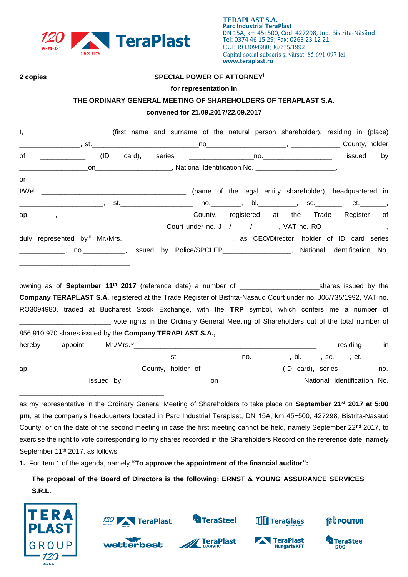

#### **2 copies SPECIAL POWER OF ATTORNEY<sup>i</sup>**

#### **for representation in**

### **THE ORDINARY GENERAL MEETING OF SHAREHOLDERS OF TERAPLAST S.A.**

## **convened for 21.09.2017/22.09.2017**

| I, ____________________________ (first name and surname of the natural person shareholder), residing in (place)                                                                                             |                |
|-------------------------------------------------------------------------------------------------------------------------------------------------------------------------------------------------------------|----------------|
|                                                                                                                                                                                                             |                |
| (ID<br>of ___________                                                                                                                                                                                       | issued<br>by   |
| _on________________________, National Identification No. _______________________,<br><u> 2002 - Jan Samuel Barbara, menyebara</u> kan pendapatan pendapatan pendapatan pendapatan pendapatan pendapatan per |                |
| or                                                                                                                                                                                                          |                |
|                                                                                                                                                                                                             |                |
|                                                                                                                                                                                                             |                |
|                                                                                                                                                                                                             |                |
|                                                                                                                                                                                                             |                |
|                                                                                                                                                                                                             |                |
| ______________, no. ____________, issued by Police/SPCLEP__________________, National Identification No.                                                                                                    |                |
| owning as of September 11 <sup>th</sup> 2017 (reference date) a number of ____________________________shares issued by the                                                                                  |                |
| Company TERAPLAST S.A. registered at the Trade Register of Bistrita-Nasaud Court under no. J06/735/1992, VAT no.                                                                                            |                |
| RO3094980, traded at Bucharest Stock Exchange, with the TRP symbol, which confers me a number of                                                                                                            |                |
| _______________________________ vote rights in the Ordinary General Meeting of Shareholders out of the total number of                                                                                      |                |
| 856,910,970 shares issued by the Company TERAPLAST S.A.,                                                                                                                                                    |                |
| hereby                                                                                                                                                                                                      | residing<br>in |
|                                                                                                                                                                                                             |                |

\_\_\_\_\_\_\_\_\_\_\_\_\_\_\_\_\_\_\_\_\_\_\_\_\_\_\_\_\_\_\_\_\_\_\_\_\_\_\_ st.\_\_\_\_\_\_\_\_\_\_\_\_\_\_\_\_ no.\_\_\_\_\_\_\_\_\_\_, bl.\_\_\_\_\_, sc.\_\_\_\_, et.\_\_\_\_\_\_\_ ap. \_\_\_\_\_\_\_\_\_ \_\_\_\_\_\_\_\_\_\_\_\_\_\_\_\_\_\_\_\_\_\_\_\_ County, holder of \_\_\_\_\_\_\_\_\_\_\_\_\_\_\_\_\_\_\_\_\_\_\_ (ID card), series \_\_\_\_\_\_\_\_\_ no. \_\_\_\_\_\_\_\_\_\_\_\_\_\_\_\_\_ issued by \_\_\_\_\_\_\_\_\_\_\_\_\_\_\_\_\_\_\_\_\_ on \_\_\_\_\_\_\_\_\_\_\_\_\_\_\_\_\_\_\_\_ National Identification No. \_\_\_\_\_\_\_\_\_\_\_\_\_\_\_\_\_\_\_\_\_\_\_\_\_\_\_\_\_\_\_\_\_\_\_\_\_\_,

as my representative in the Ordinary General Meeting of Shareholders to take place on **September 21st 2017 at 5:00 pm**, at the company's headquarters located in Parc Industrial Teraplast, DN 15A, km 45+500, 427298, Bistrita-Nasaud County, or on the date of the second meeting in case the first meeting cannot be held, namely September 22<sup>nd</sup> 2017, to exercise the right to vote corresponding to my shares recorded in the Shareholders Record on the reference date, namely September 11<sup>th</sup> 2017, as follows:

**1.** For item 1 of the agenda, namely **"To approve the appointment of the financial auditor":**

**The proposal of the Board of Directors is the following: ERNST & YOUNG ASSURANCE SERVICES S.R.L.**



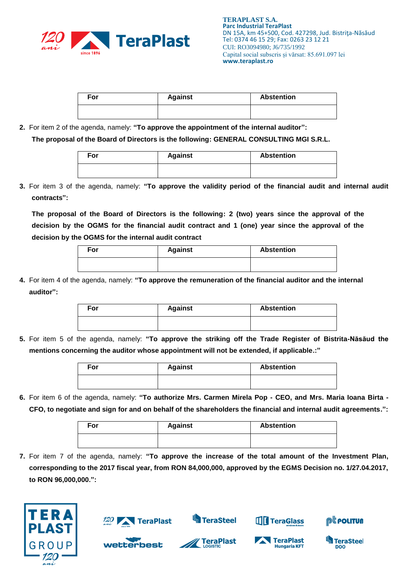

| For | <b>Against</b> | <b>Abstention</b> |
|-----|----------------|-------------------|
|     |                |                   |

**2.** For item 2 of the agenda, namely: **"To approve the appointment of the internal auditor":**

**The proposal of the Board of Directors is the following: GENERAL CONSULTING MGI S.R.L.**

| For | <b>Against</b> | <b>Abstention</b> |
|-----|----------------|-------------------|
|     |                |                   |

**3.** For item 3 of the agenda, namely: **"To approve the validity period of the financial audit and internal audit contracts":**

**The proposal of the Board of Directors is the following: 2 (two) years since the approval of the decision by the OGMS for the financial audit contract and 1 (one) year since the approval of the decision by the OGMS for the internal audit contract**

| For | <b>Against</b> | <b>Abstention</b> |
|-----|----------------|-------------------|
|     |                |                   |

**4.** For item 4 of the agenda, namely: **"To approve the remuneration of the financial auditor and the internal auditor":**

| For | <b>Against</b> | <b>Abstention</b> |
|-----|----------------|-------------------|
|     |                |                   |

**5.** For item 5 of the agenda, namely: **"To approve the striking off the Trade Register of Bistrita-Năsăud the mentions concerning the auditor whose appointment will not be extended, if applicable.:"**

| For | <b>Against</b> | <b>Abstention</b> |
|-----|----------------|-------------------|
|     |                |                   |

**6.** For item 6 of the agenda, namely: **"To authorize Mrs. Carmen Mirela Pop - CEO, and Mrs. Maria Ioana Birta - CFO, to negotiate and sign for and on behalf of the shareholders the financial and internal audit agreements.":**

| For | <b>Against</b> | <b>Abstention</b> |
|-----|----------------|-------------------|
|     |                |                   |

**7.** For item 7 of the agenda, namely: **"To approve the increase of the total amount of the Investment Plan, corresponding to the 2017 fiscal year, from RON 84,000,000, approved by the EGMS Decision no. 1/27.04.2017, to RON 96,000,000.":**





wetterbest



**TeraPlast** 



TeraPlast

**Hungaria KFT** 



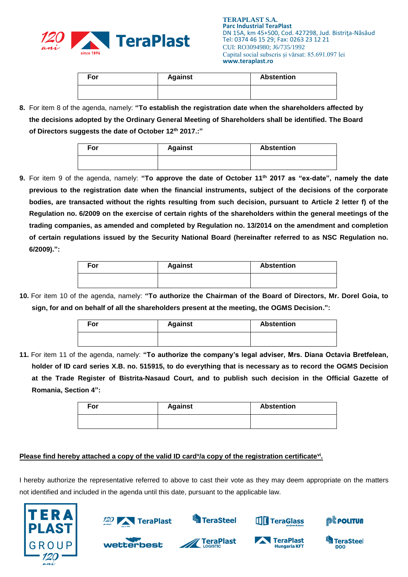

| For | <b>Against</b> | <b>Abstention</b> |
|-----|----------------|-------------------|
|     |                |                   |

**8.** For item 8 of the agenda, namely: **"To establish the registration date when the shareholders affected by the decisions adopted by the Ordinary General Meeting of Shareholders shall be identified. The Board of Directors suggests the date of October 12th 2017.:"**

| For | <b>Against</b> | <b>Abstention</b> |
|-----|----------------|-------------------|
|     |                |                   |

**9.** For item 9 of the agenda, namely: **"To approve the date of October 11th 2017 as "ex-date", namely the date previous to the registration date when the financial instruments, subject of the decisions of the corporate bodies, are transacted without the rights resulting from such decision, pursuant to Article 2 letter f) of the Regulation no. 6/2009 on the exercise of certain rights of the shareholders within the general meetings of the trading companies, as amended and completed by Regulation no. 13/2014 on the amendment and completion of certain regulations issued by the Security National Board (hereinafter referred to as NSC Regulation no. 6/2009).":**

| For | <b>Against</b> | <b>Abstention</b> |
|-----|----------------|-------------------|
|     |                |                   |

**10.** For item 10 of the agenda, namely: **"To authorize the Chairman of the Board of Directors, Mr. Dorel Goia, to sign, for and on behalf of all the shareholders present at the meeting, the OGMS Decision.":**

| For | <b>Against</b> | <b>Abstention</b> |
|-----|----------------|-------------------|
|     |                |                   |

**11.** For item 11 of the agenda, namely: **"To authorize the company's legal adviser, Mrs. Diana Octavia Bretfelean, holder of ID card series X.B. no. 515915, to do everything that is necessary as to record the OGMS Decision at the Trade Register of Bistrita-Nasaud Court, and to publish such decision in the Official Gazette of Romania, Section 4":**

| For | <b>Against</b> | <b>Abstention</b> |
|-----|----------------|-------------------|
|     |                |                   |

# Please find hereby attached a copy of the valid ID card<sup>y</sup>/a copy of the registration certificate<sup>vi</sup>.

I hereby authorize the representative referred to above to cast their vote as they may deem appropriate on the matters not identified and included in the agenda until this date, pursuant to the applicable law.





**wetterbest** 

TeraSteel